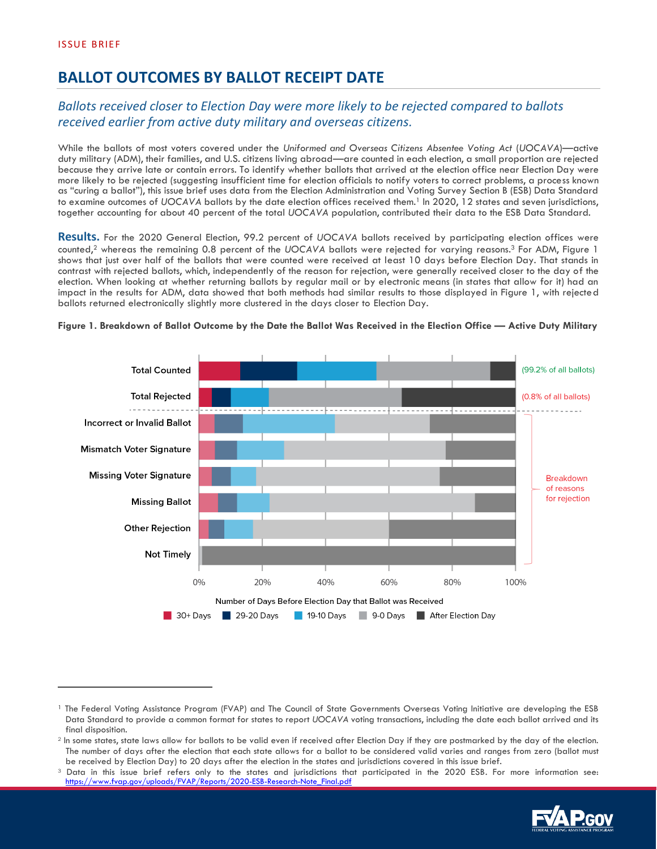# **BALLOT OUTCOMES BY BALLOT RECEIPT DATE**

## *Ballots received closer to Election Day were more likely to be rejected compared to ballots received earlier from active duty military and overseas citizens.*

While the ballots of most voters covered under the *Uniformed and Overseas Citizens Absentee Voting Act* (*UOCAVA*)—active duty military (ADM), their families, and U.S. citizens living abroad—are counted in each election, a small proportion are rejected because they arrive late or contain errors. To identify whether ballots that arrived at the election office near Election Day were more likely to be rejected (suggesting insufficient time for election officials to notify voters to correct problems, a process known as "curing a ballot"), this issue brief uses data from the Election Administration and Voting Survey Section B (ESB) Data Standard to examine outcomes of *UOCAVA* ballots by the date election offices received them.<sup>1</sup> In 2020, 12 states and seven jurisdictions, together accounting for about 40 percent of the total *UOCAVA* population, contributed their data to the ESB Data Standard.

**Results.** For the 2020 General Election, 99.2 percent of *UOCAVA* ballots received by participating election offices were counted,<sup>2</sup> whereas the remaining 0.8 percent of the *UOCAVA* ballots were rejected for varying reasons.<sup>3</sup> For ADM, Figure 1 shows that just over half of the ballots that were counted were received at least 10 days before Election Day. That stands in contrast with rejected ballots, which, independently of the reason for rejection, were generally received closer to the day of the election. When looking at whether returning ballots by regular mail or by electronic means (in states that allow for it) had an impact in the results for ADM, data showed that both methods had similar results to those displayed in Figure 1, with rejected ballots returned electronically slightly more clustered in the days closer to Election Day.



#### **Figure 1. Breakdown of Ballot Outcome by the Date the Ballot Was Received in the Election Office — Active Duty Military**

<sup>&</sup>lt;sup>3</sup> Data in this issue brief refers only to the states and jurisdictions that participated in the 2020 ESB. For more information see: [https://www.fvap.gov/uploads/FVAP/Reports/2020-ESB-Research-Note\\_Final.pdf](https://www.fvap.gov/uploads/FVAP/Reports/2020-ESB-Research-Note_Final.pdf)



<sup>&</sup>lt;sup>1</sup> The Federal Voting Assistance Program (FVAP) and The Council of State Governments Overseas Voting Initiative are developing the ESB Data Standard to provide a common format for states to report *UOCAVA* voting transactions, including the date each ballot arrived and its final disposition.

<sup>&</sup>lt;sup>2</sup> In some states, state laws allow for ballots to be valid even if received after Election Day if they are postmarked by the day of the election. The number of days after the election that each state allows for a ballot to be considered valid varies and ranges from zero (ballot must be received by Election Day) to 20 days after the election in the states and jurisdictions covered in this issue brief.